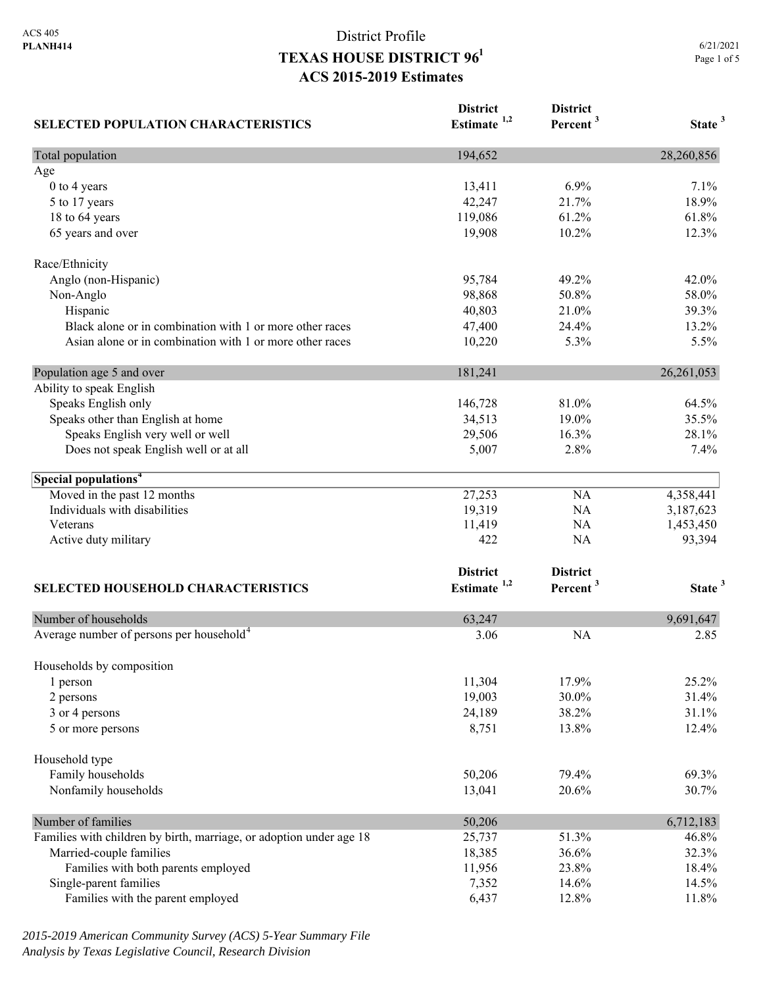| <b>SELECTED POPULATION CHARACTERISTICS</b>                          | <b>District</b><br>Estimate $1,2$ | <b>District</b><br>Percent <sup>3</sup> | State <sup>3</sup> |
|---------------------------------------------------------------------|-----------------------------------|-----------------------------------------|--------------------|
| Total population                                                    | 194,652                           |                                         | 28,260,856         |
| Age                                                                 |                                   |                                         |                    |
| 0 to 4 years                                                        | 13,411                            | 6.9%                                    | 7.1%               |
| 5 to 17 years                                                       | 42,247                            | 21.7%                                   | 18.9%              |
| 18 to 64 years                                                      | 119,086                           | 61.2%                                   | 61.8%              |
| 65 years and over                                                   | 19,908                            | 10.2%                                   | 12.3%              |
| Race/Ethnicity                                                      |                                   |                                         |                    |
| Anglo (non-Hispanic)                                                | 95,784                            | 49.2%                                   | 42.0%              |
| Non-Anglo                                                           | 98,868                            | 50.8%                                   | 58.0%              |
| Hispanic                                                            | 40,803                            | 21.0%                                   | 39.3%              |
| Black alone or in combination with 1 or more other races            | 47,400                            | 24.4%                                   | 13.2%              |
| Asian alone or in combination with 1 or more other races            | 10,220                            | 5.3%                                    | 5.5%               |
| Population age 5 and over                                           | 181,241                           |                                         | 26, 261, 053       |
| Ability to speak English                                            |                                   |                                         |                    |
| Speaks English only                                                 | 146,728                           | 81.0%                                   | 64.5%              |
| Speaks other than English at home                                   | 34,513                            | 19.0%                                   | 35.5%              |
| Speaks English very well or well                                    | 29,506                            | 16.3%                                   | 28.1%              |
| Does not speak English well or at all                               | 5,007                             | 2.8%                                    | 7.4%               |
| Special populations <sup>4</sup>                                    |                                   |                                         |                    |
| Moved in the past 12 months                                         | 27,253                            | NA                                      | 4,358,441          |
| Individuals with disabilities                                       | 19,319                            | NA                                      | 3,187,623          |
| Veterans                                                            | 11,419                            | NA                                      | 1,453,450          |
| Active duty military                                                | 422                               | <b>NA</b>                               | 93,394             |
|                                                                     | <b>District</b>                   | <b>District</b>                         |                    |
| <b>SELECTED HOUSEHOLD CHARACTERISTICS</b>                           | Estimate <sup>1,2</sup>           | Percent <sup>3</sup>                    | State <sup>3</sup> |
|                                                                     |                                   |                                         |                    |
| Number of households                                                | 63,247                            |                                         | 9,691,647          |
| Average number of persons per household <sup>4</sup>                | 3.06                              | <b>NA</b>                               | 2.85               |
| Households by composition                                           |                                   |                                         |                    |
| 1 person                                                            | 11,304                            | 17.9%                                   | 25.2%              |
| 2 persons                                                           | 19,003                            | 30.0%                                   | 31.4%              |
| 3 or 4 persons                                                      | 24,189                            | 38.2%                                   | 31.1%              |
| 5 or more persons                                                   | 8,751                             | 13.8%                                   | 12.4%              |
| Household type                                                      |                                   |                                         |                    |
| Family households                                                   | 50,206                            | 79.4%                                   | 69.3%              |
| Nonfamily households                                                | 13,041                            | 20.6%                                   | 30.7%              |
| Number of families                                                  | 50,206                            |                                         | 6,712,183          |
| Families with children by birth, marriage, or adoption under age 18 | 25,737                            | 51.3%                                   | 46.8%              |
| Married-couple families                                             | 18,385                            | 36.6%                                   | 32.3%              |
| Families with both parents employed                                 | 11,956                            | 23.8%                                   | 18.4%              |
| Single-parent families                                              | 7,352                             | 14.6%                                   | 14.5%              |
| Families with the parent employed                                   | 6,437                             | 12.8%                                   | 11.8%              |

*2015-2019 American Community Survey (ACS) 5-Year Summary File Analysis by Texas Legislative Council, Research Division*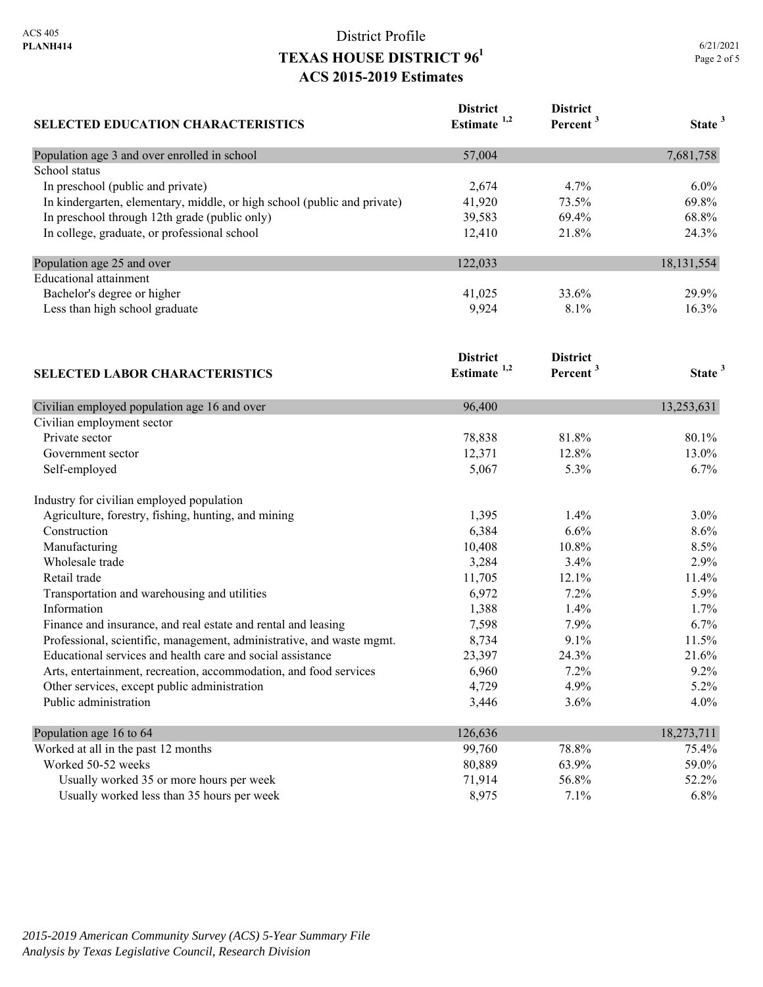| <b>SELECTED EDUCATION CHARACTERISTICS</b>                                | <b>District</b><br>Estimate <sup>1,2</sup> | <b>District</b><br>Percent <sup>3</sup> | State <sup>3</sup> |
|--------------------------------------------------------------------------|--------------------------------------------|-----------------------------------------|--------------------|
| Population age 3 and over enrolled in school                             | 57,004                                     |                                         | 7,681,758          |
| School status                                                            |                                            |                                         |                    |
| In preschool (public and private)                                        | 2,674                                      | 4.7%                                    | 6.0%               |
| In kindergarten, elementary, middle, or high school (public and private) | 41,920                                     | 73.5%                                   | 69.8%              |
| In preschool through 12th grade (public only)                            | 39,583                                     | 69.4%                                   | 68.8%              |
| In college, graduate, or professional school                             | 12,410                                     | 21.8%                                   | 24.3%              |
| Population age 25 and over                                               | 122,033                                    |                                         | 18, 131, 554       |
| <b>Educational attainment</b>                                            |                                            |                                         |                    |
| Bachelor's degree or higher                                              | 41,025                                     | 33.6%                                   | 29.9%              |
| Less than high school graduate<br><b>SELECTED LABOR CHARACTERISTICS</b>  | 9,924                                      | 8.1%                                    | 16.3%              |
|                                                                          | <b>District</b><br>Estimate <sup>1,2</sup> | <b>District</b><br>Percent <sup>3</sup> | State <sup>3</sup> |
|                                                                          |                                            |                                         |                    |
| Civilian employed population age 16 and over                             | 96,400                                     |                                         | 13,253,631         |
| Civilian employment sector<br>Private sector                             |                                            |                                         |                    |
|                                                                          | 78,838                                     | 81.8%                                   | 80.1%<br>13.0%     |
| Government sector<br>Self-employed                                       | 12,371<br>5,067                            | 12.8%<br>5.3%                           | 6.7%               |
|                                                                          |                                            |                                         |                    |
| Industry for civilian employed population                                |                                            |                                         |                    |
| Agriculture, forestry, fishing, hunting, and mining                      | 1,395                                      | 1.4%                                    | 3.0%               |
| Construction                                                             | 6,384                                      | 6.6%                                    | 8.6%               |
| Manufacturing                                                            | 10,408                                     | 10.8%                                   | 8.5%               |
| Wholesale trade                                                          | 3,284                                      | 3.4%                                    | 2.9%               |
| Retail trade                                                             | 11,705                                     | 12.1%                                   | 11.4%              |
| Transportation and warehousing and utilities                             | 6,972                                      | 7.2%                                    | 5.9%               |
| Information                                                              | 1,388                                      | 1.4%                                    | 1.7%               |
| Finance and insurance, and real estate and rental and leasing            | 7,598                                      | 7.9%                                    | 6.7%               |
| Professional, scientific, management, administrative, and waste mgmt.    | 8,734                                      | 9.1%                                    | 11.5%              |
| Educational services and health care and social assistance               | 23,397                                     | 24.3%                                   | 21.6%              |
| Arts, entertainment, recreation, accommodation, and food services        | 6,960                                      | 7.2%                                    | 9.2%               |
| Other services, except public administration                             | 4,729                                      | 4.9%                                    | 5.2%               |
| Public administration                                                    | 3,446                                      | 3.6%                                    | 4.0%               |
| Population age 16 to 64                                                  | 126,636                                    |                                         | 18,273,711         |
| Worked at all in the past 12 months                                      | 99,760                                     | 78.8%                                   | 75.4%              |
| Worked 50-52 weeks                                                       | 80,889                                     | 63.9%                                   | 59.0%              |
| Usually worked 35 or more hours per week                                 | 71,914                                     | 56.8%                                   | 52.2%              |
| Usually worked less than 35 hours per week                               | 8,975                                      | 7.1%                                    | 6.8%               |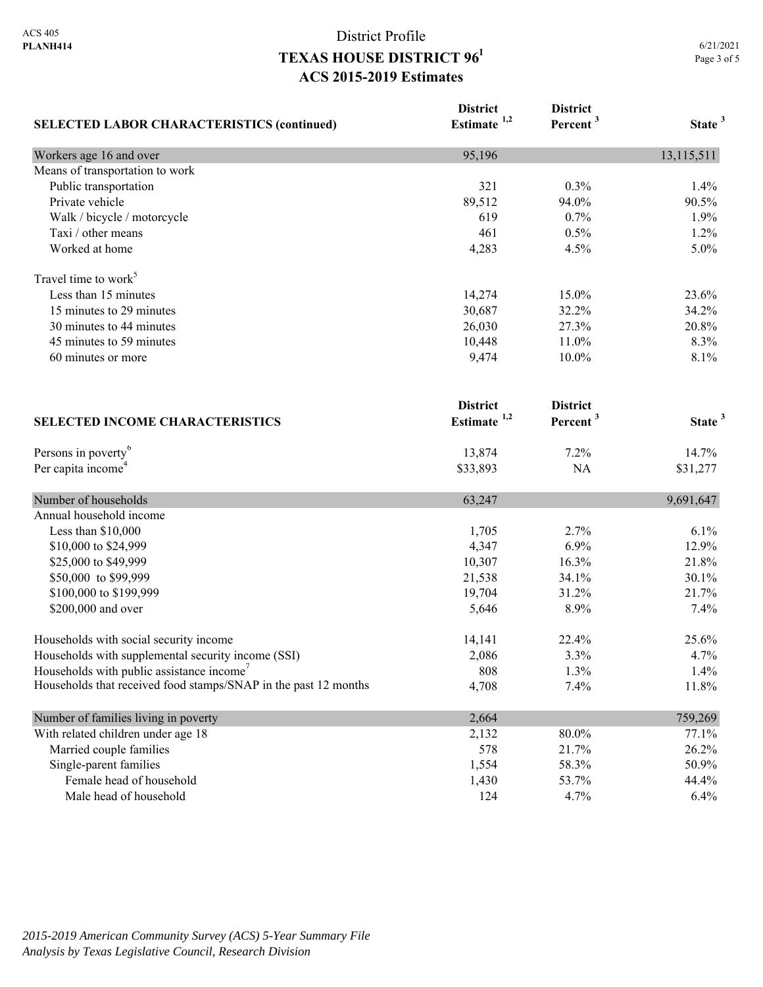| <b>SELECTED LABOR CHARACTERISTICS (continued)</b>               | <b>District</b><br>Estimate <sup>1,2</sup> | <b>District</b><br>Percent <sup>3</sup> | State <sup>3</sup> |
|-----------------------------------------------------------------|--------------------------------------------|-----------------------------------------|--------------------|
| Workers age 16 and over                                         | 95,196                                     |                                         | 13,115,511         |
| Means of transportation to work                                 |                                            |                                         |                    |
| Public transportation                                           | 321                                        | 0.3%                                    | 1.4%               |
| Private vehicle                                                 | 89,512                                     | 94.0%                                   | 90.5%              |
| Walk / bicycle / motorcycle                                     | 619                                        | 0.7%                                    | 1.9%               |
| Taxi / other means                                              | 461                                        | 0.5%                                    | 1.2%               |
| Worked at home                                                  | 4,283                                      | 4.5%                                    | 5.0%               |
| Travel time to work <sup>5</sup>                                |                                            |                                         |                    |
| Less than 15 minutes                                            | 14,274                                     | 15.0%                                   | 23.6%              |
| 15 minutes to 29 minutes                                        | 30,687                                     | 32.2%                                   | 34.2%              |
| 30 minutes to 44 minutes                                        | 26,030                                     | 27.3%                                   | 20.8%              |
| 45 minutes to 59 minutes                                        | 10,448                                     | 11.0%                                   | 8.3%               |
| 60 minutes or more                                              | 9,474                                      | 10.0%                                   | 8.1%               |
| <b>SELECTED INCOME CHARACTERISTICS</b>                          | <b>District</b><br>Estimate <sup>1,2</sup> | <b>District</b><br>Percent <sup>3</sup> | State <sup>3</sup> |
| Persons in poverty <sup>6</sup>                                 |                                            |                                         |                    |
|                                                                 | 13,874                                     | 7.2%                                    | 14.7%              |
| Per capita income <sup>4</sup>                                  | \$33,893                                   | NA                                      | \$31,277           |
| Number of households                                            | 63,247                                     |                                         | 9,691,647          |
| Annual household income                                         |                                            |                                         |                    |
| Less than \$10,000                                              | 1,705                                      | 2.7%                                    | 6.1%               |
| \$10,000 to \$24,999                                            | 4,347                                      | 6.9%                                    | 12.9%              |
| \$25,000 to \$49,999                                            | 10,307                                     | 16.3%                                   | 21.8%              |
| \$50,000 to \$99,999                                            | 21,538                                     | 34.1%                                   | 30.1%              |
| \$100,000 to \$199,999                                          | 19,704                                     | 31.2%                                   | 21.7%              |
| \$200,000 and over                                              | 5,646                                      | 8.9%                                    | 7.4%               |
| Households with social security income                          | 14,141                                     | 22.4%                                   | 25.6%              |
| Households with supplemental security income (SSI)              | 2,086                                      | 3.3%                                    | 4.7%               |
| Households with public assistance income'                       | 808                                        | 1.3%                                    | 1.4%               |
| Households that received food stamps/SNAP in the past 12 months | 4,708                                      | 7.4%                                    | 11.8%              |
| Number of families living in poverty                            | 2,664                                      |                                         | 759,269            |
| With related children under age 18                              | 2,132                                      | 80.0%                                   | 77.1%              |
| Married couple families                                         | 578                                        | 21.7%                                   | 26.2%              |
| Single-parent families                                          | 1,554                                      | 58.3%                                   | 50.9%              |
| Female head of household                                        | 1,430                                      | 53.7%                                   | 44.4%              |
| Male head of household                                          | 124                                        | 4.7%                                    | 6.4%               |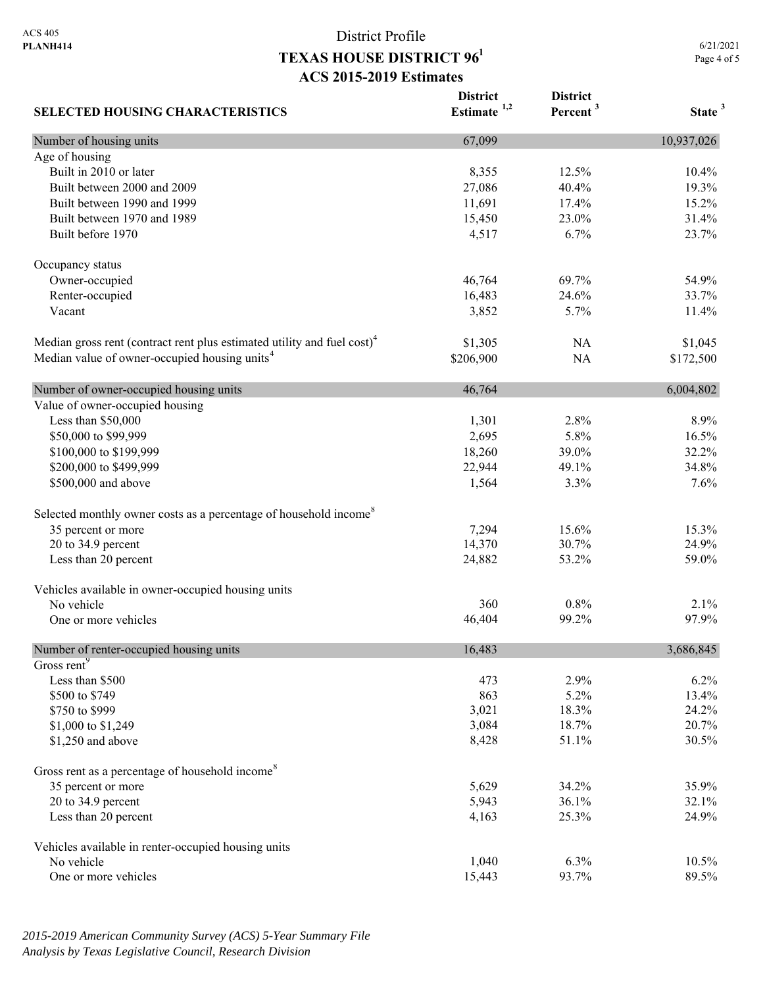6/21/2021 Page 4 of 5

| <b>SELECTED HOUSING CHARACTERISTICS</b>                                             | <b>District</b><br>Estimate $1,2$ | <b>District</b><br>Percent <sup>3</sup> | State <sup>3</sup> |
|-------------------------------------------------------------------------------------|-----------------------------------|-----------------------------------------|--------------------|
| Number of housing units                                                             | 67,099                            |                                         | 10,937,026         |
| Age of housing                                                                      |                                   |                                         |                    |
| Built in 2010 or later                                                              | 8,355                             | 12.5%                                   | 10.4%              |
| Built between 2000 and 2009                                                         | 27,086                            | 40.4%                                   | 19.3%              |
| Built between 1990 and 1999                                                         | 11,691                            | 17.4%                                   | 15.2%              |
| Built between 1970 and 1989                                                         | 15,450                            | 23.0%                                   | 31.4%              |
| Built before 1970                                                                   | 4,517                             | 6.7%                                    | 23.7%              |
| Occupancy status                                                                    |                                   |                                         |                    |
| Owner-occupied                                                                      | 46,764                            | 69.7%                                   | 54.9%              |
| Renter-occupied                                                                     | 16,483                            | 24.6%                                   | 33.7%              |
| Vacant                                                                              | 3,852                             | 5.7%                                    | 11.4%              |
| Median gross rent (contract rent plus estimated utility and fuel cost) <sup>4</sup> | \$1,305                           | NA                                      | \$1,045            |
| Median value of owner-occupied housing units <sup>4</sup>                           | \$206,900                         | <b>NA</b>                               | \$172,500          |
| Number of owner-occupied housing units                                              | 46,764                            |                                         | 6,004,802          |
| Value of owner-occupied housing                                                     |                                   |                                         |                    |
| Less than \$50,000                                                                  | 1,301                             | 2.8%                                    | 8.9%               |
| \$50,000 to \$99,999                                                                | 2,695                             | 5.8%                                    | 16.5%              |
| \$100,000 to \$199,999                                                              | 18,260                            | 39.0%                                   | 32.2%              |
| \$200,000 to \$499,999                                                              | 22,944                            | 49.1%                                   | 34.8%              |
| \$500,000 and above                                                                 | 1,564                             | 3.3%                                    | 7.6%               |
| Selected monthly owner costs as a percentage of household income <sup>8</sup>       |                                   |                                         |                    |
| 35 percent or more                                                                  | 7,294                             | 15.6%                                   | 15.3%              |
| 20 to 34.9 percent                                                                  | 14,370                            | 30.7%                                   | 24.9%              |
| Less than 20 percent                                                                | 24,882                            | 53.2%                                   | 59.0%              |
| Vehicles available in owner-occupied housing units                                  |                                   |                                         |                    |
| No vehicle                                                                          | 360                               | 0.8%                                    | 2.1%               |
| One or more vehicles                                                                | 46,404                            | 99.2%                                   | 97.9%              |
| Number of renter-occupied housing units                                             | 16,483                            |                                         | 3,686,845          |
| Gross rent <sup>9</sup>                                                             |                                   |                                         |                    |
| Less than \$500                                                                     | 473                               | 2.9%                                    | 6.2%               |
| \$500 to \$749                                                                      | 863                               | 5.2%                                    | 13.4%              |
| \$750 to \$999                                                                      | 3,021                             | 18.3%                                   | 24.2%              |
| \$1,000 to \$1,249                                                                  | 3,084                             | 18.7%                                   | 20.7%              |
| \$1,250 and above                                                                   | 8,428                             | 51.1%                                   | 30.5%              |
| Gross rent as a percentage of household income <sup>8</sup>                         |                                   |                                         |                    |
| 35 percent or more                                                                  | 5,629                             | 34.2%                                   | 35.9%              |
| $20$ to $34.9$ percent                                                              | 5,943                             | 36.1%                                   | 32.1%              |
| Less than 20 percent                                                                | 4,163                             | 25.3%                                   | 24.9%              |
| Vehicles available in renter-occupied housing units                                 |                                   |                                         |                    |
| No vehicle                                                                          | 1,040                             | 6.3%                                    | 10.5%              |
| One or more vehicles                                                                | 15,443                            | 93.7%                                   | 89.5%              |